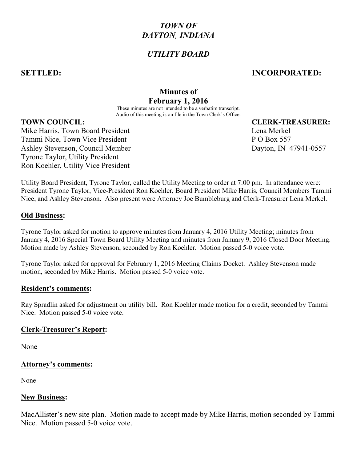# TOWN OF DAYTON, INDIANA

# UTILITY BOARD

# SETTLED: INCORPORATED:

# Minutes of February 1, 2016

These minutes are not intended to be a verbatim transcript. Audio of this meeting is on file in the Town Clerk's Office.

## TOWN COUNCIL: CLERK-TREASURER:

Mike Harris, Town Board President Lena Merkel Changes and Lena Merkel Tammi Nice, Town Vice President P O Box 557 Ashley Stevenson, Council Member Dayton, IN 47941-0557 Tyrone Taylor, Utility President Ron Koehler, Utility Vice President

Utility Board President, Tyrone Taylor, called the Utility Meeting to order at 7:00 pm. In attendance were: President Tyrone Taylor, Vice-President Ron Koehler, Board President Mike Harris, Council Members Tammi Nice, and Ashley Stevenson. Also present were Attorney Joe Bumbleburg and Clerk-Treasurer Lena Merkel.

## Old Business:

Tyrone Taylor asked for motion to approve minutes from January 4, 2016 Utility Meeting; minutes from January 4, 2016 Special Town Board Utility Meeting and minutes from January 9, 2016 Closed Door Meeting. Motion made by Ashley Stevenson, seconded by Ron Koehler. Motion passed 5-0 voice vote.

Tyrone Taylor asked for approval for February 1, 2016 Meeting Claims Docket. Ashley Stevenson made motion, seconded by Mike Harris. Motion passed 5-0 voice vote.

## Resident's comments:

Ray Spradlin asked for adjustment on utility bill. Ron Koehler made motion for a credit, seconded by Tammi Nice. Motion passed 5-0 voice vote.

## Clerk-Treasurer's Report:

None

## Attorney's comments:

None

## New Business:

MacAllister's new site plan. Motion made to accept made by Mike Harris, motion seconded by Tammi Nice. Motion passed 5-0 voice vote.